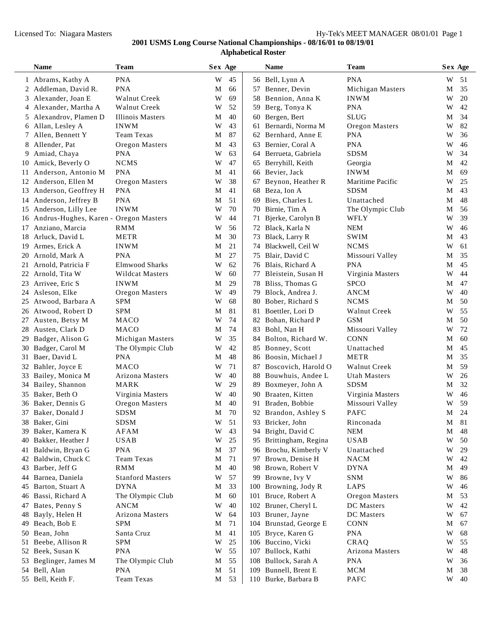÷

|    | <b>Name</b>                              | <b>Team</b>             | Sex Age |    |     | <b>Name</b>            | <b>Team</b>         | Sex Age |    |
|----|------------------------------------------|-------------------------|---------|----|-----|------------------------|---------------------|---------|----|
|    | 1 Abrams, Kathy A                        | <b>PNA</b>              | W       | 45 |     | 56 Bell, Lynn A        | <b>PNA</b>          | W       | 51 |
|    | 2 Addleman, David R.                     | <b>PNA</b>              | М       | 66 |     | 57 Benner, Devin       | Michigan Masters    | М       | 35 |
|    | 3 Alexander, Joan E                      | Walnut Creek            | W       | 69 |     | 58 Bennion, Anna K     | <b>INWM</b>         | W       | 20 |
|    | 4 Alexander, Martha A                    | Walnut Creek            | W       | 52 |     | 59 Berg, Tonya K       | <b>PNA</b>          | W       | 42 |
|    | 5 Alexandrov, Plamen D                   | Illinois Masters        | М       | 40 |     | 60 Bergen, Bert        | <b>SLUG</b>         | М       | 34 |
|    | 6 Allan, Lesley A                        | <b>INWM</b>             | W       | 43 | 61  | Bernardi, Norma M      | Oregon Masters      | W       | 82 |
|    | 7 Allen, Bennett Y                       | <b>Team Texas</b>       | М       | 87 |     | 62 Bernhard, Anne E    | <b>PNA</b>          | W       | 36 |
|    | 8 Allender, Pat                          | Oregon Masters          | М       | 43 | 63  | Bernier, Coral A       | <b>PNA</b>          | W       | 46 |
|    | 9 Amiad, Chaya                           | <b>PNA</b>              | W       | 63 |     | 64 Berrueta, Gabriela  | <b>SDSM</b>         | W       | 34 |
|    | 10 Amick, Beverly O                      | <b>NCMS</b>             | W       | 47 |     | 65 Berryhill, Keith    | Georgia             | М       | 42 |
|    | 11 Anderson, Antonio M                   | <b>PNA</b>              | М       | 41 |     | 66 Bevier, Jack        | <b>INWM</b>         | М       | 69 |
|    | 12 Anderson, Ellen M                     | Oregon Masters          | W       | 38 | 67  | Beynon, Heather R      | Maritime Pacific    | W       | 25 |
|    | 13 Anderson, Geoffrey H                  | <b>PNA</b>              | М       | 41 |     | 68 Beza, Ion A         | <b>SDSM</b>         | М       | 43 |
|    | 14 Anderson, Jeffrey B                   | <b>PNA</b>              | М       | 51 | 69  | Bies, Charles L        | Unattached          | М       | 48 |
|    | 15 Anderson, Lilly Lee                   | <b>INWM</b>             | W       | 70 | 70  | Birnie, Tim A          | The Olympic Club    | М       | 56 |
|    | 16 Andrus-Hughes, Karen - Oregon Masters |                         | W       | 44 | 71  | Bjerke, Carolyn B      | WFLY                | W       | 39 |
|    | 17 Anziano, Marcia                       | <b>RMM</b>              | W       | 56 |     | 72 Black, Karla N      | <b>NEM</b>          | W       | 46 |
|    | 18 Arluck, David L                       | <b>METR</b>             | М       | 30 | 73  | Black, Larry R         | <b>SWIM</b>         | М       | 43 |
|    | 19 Armes, Erick A                        | <b>INWM</b>             | М       | 21 | 74  | Blackwell, Ceil W      | <b>NCMS</b>         | W       | 61 |
|    | 20 Arnold, Mark A                        | <b>PNA</b>              | М       | 27 | 75  | Blair, David C         | Missouri Valley     | М       | 35 |
|    | 21 Arnold, Patricia F                    | <b>Elmwood Sharks</b>   | W       | 62 |     | 76 Blais, Richard A    | <b>PNA</b>          | М       | 45 |
|    | 22 Arnold, Tita W                        | <b>Wildcat Masters</b>  | W       | 60 | 77  | Bleistein, Susan H     | Virginia Masters    | W       | 44 |
|    | 23 Arrivee, Eric S                       | <b>INWM</b>             | М       | 29 | 78  | Bliss, Thomas G        | <b>SPCO</b>         | М       | 47 |
|    | 24 Asleson, Elke                         | Oregon Masters          | W       | 49 | 79  | Block, Andrea J.       | <b>ANCM</b>         | W       | 40 |
|    | 25 Atwood, Barbara A                     | <b>SPM</b>              | W       | 68 |     | 80 Bober, Richard S    | <b>NCMS</b>         | М       | 50 |
|    | 26 Atwood, Robert D                      | <b>SPM</b>              | М       | 81 | 81  | Boettler, Lori D       | <b>Walnut Creek</b> | W       | 55 |
|    | 27 Austen, Betsy M                       | MACO                    | W       | 74 |     | 82 Bohan, Richard P    | <b>GSM</b>          | М       | 50 |
|    | 28 Austen, Clark D                       | MACO                    | М       | 74 | 83  | Bohl, Nan H            | Missouri Valley     | W       | 72 |
| 29 | Badger, Alison G                         | Michigan Masters        | W       | 35 | 84  | Bolton, Richard W.     | <b>CONN</b>         | М       | 60 |
|    | 30 Badger, Carol M                       | The Olympic Club        | W       | 42 | 85  | Bonney, Scott          | Unattached          | М       | 45 |
|    | 31 Baer, David L                         | <b>PNA</b>              | М       | 48 |     | 86 Boosin, Michael J   | <b>METR</b>         | М       | 35 |
|    | 32 Bahler, Joyce E                       | <b>MACO</b>             | W       | 71 | 87  | Boscovich, Harold O    | <b>Walnut Creek</b> | М       | 59 |
|    | 33 Bailey, Monica M                      | Arizona Masters         | W       | 40 |     | 88 Bouwhuis, Andee L   | <b>Utah Masters</b> | W       | 26 |
|    | 34 Bailey, Shannon                       | <b>MARK</b>             | W       | 29 | 89  | Boxmeyer, John A       | <b>SDSM</b>         | М       | 32 |
|    | 35 Baker, Beth O                         | Virginia Masters        | W       | 40 |     | 90 Braaten, Kitten     | Virginia Masters    | W       | 46 |
|    | 36 Baker, Dennis G                       | Oregon Masters          | М       | 40 |     | 91 Braden, Bobbie      | Missouri Valley     | W       | 59 |
|    | 37 Baker, Donald J                       | <b>SDSM</b>             | М       | 70 |     | 92 Brandon, Ashley S   | <b>PAFC</b>         | М       | 24 |
|    | 38 Baker, Gini                           | <b>SDSM</b>             | W       | 51 |     | 93 Bricker, John       | Rinconada           | М       | 81 |
|    | 39 Baker, Kamera K                       | AFAM                    | W       | 43 |     | 94 Bright, David C     | <b>NEM</b>          | M       | 48 |
|    | 40 Bakker, Heather J                     | <b>USAB</b>             | W       | 25 |     | 95 Brittingham, Regina | <b>USAB</b>         | W       | 50 |
|    | 41 Baldwin, Bryan G                      | <b>PNA</b>              | M       | 37 |     | 96 Brochu, Kimberly V  | Unattached          | W       | 29 |
|    | 42 Baldwin, Chuck C                      | Team Texas              | M       | 71 |     | 97 Brown, Denise H     | <b>NACM</b>         | W       | 42 |
|    | 43 Barber, Jeff G                        | <b>RMM</b>              | М       | 40 |     | 98 Brown, Robert V     | <b>DYNA</b>         | М       | 49 |
|    | 44 Barnea, Daniela                       | <b>Stanford Masters</b> | W       | 57 |     | 99 Browne, Ivy V       | <b>SNM</b>          | W       | 86 |
|    | 45 Barton, Stuart A                      | <b>DYNA</b>             | M       | 33 |     | 100 Browning, Jody R   | LAPS                | W       | 46 |
|    | 46 Bassi, Richard A                      | The Olympic Club        | M       | 60 |     | 101 Bruce, Robert A    | Oregon Masters      | M       | 53 |
|    | 47 Bates, Penny S                        | <b>ANCM</b>             | W       | 40 |     | 102 Bruner, Cheryl L   | DC Masters          | W       | 42 |
|    | 48 Bayly, Helen H                        | Arizona Masters         | W       | 64 |     | 103 Bruner, Jayne      | <b>DC</b> Masters   | W       | 67 |
|    | 49 Beach, Bob E                          | <b>SPM</b>              | M       | 71 |     | 104 Brunstad, George E | <b>CONN</b>         | М       | 67 |
|    | 50 Bean, John                            | Santa Cruz              | M       | 41 |     | 105 Bryce, Karen G     | <b>PNA</b>          | W       | 68 |
|    | 51 Beebe, Allison R                      | <b>SPM</b>              | W       | 25 |     | 106 Buccino, Vicki     | CRAQ                | W       | 55 |
|    | 52 Beek, Susan K                         | <b>PNA</b>              | W       | 55 | 107 | Bullock, Kathi         | Arizona Masters     | W       | 48 |
|    | 53 Beglinger, James M                    | The Olympic Club        | M       | 55 |     | 108 Bullock, Sarah A   | <b>PNA</b>          | W       | 36 |
|    | 54 Bell, Alan                            | <b>PNA</b>              | M       | 51 |     | 109 Bunnell, Brent E   | <b>MCM</b>          | M       | 38 |
|    | 55 Bell, Keith F.                        | Team Texas              | M       | 53 |     | 110 Burke, Barbara B   | PAFC                | W       | 40 |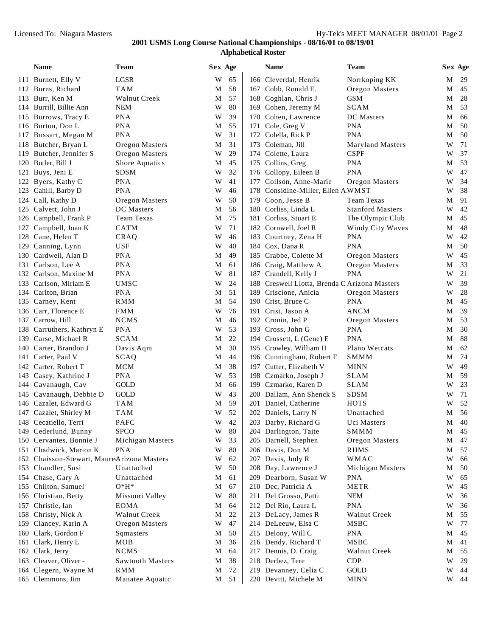|     | Name                                   | Team                          | Sex Age |          |     | <b>Name</b>                                    | Team                                 |             | Sex Age  |
|-----|----------------------------------------|-------------------------------|---------|----------|-----|------------------------------------------------|--------------------------------------|-------------|----------|
|     | 111 Burnett, Elly V                    | $_{\rm LGSR}$                 | W       | 65       |     | 166 Cleverdal, Henrik                          | Norrkoping KK                        | М           | 29       |
|     | 112 Burns, Richard                     | <b>TAM</b>                    | M       | 58       |     | 167 Cobb, Ronald E.                            | Oregon Masters                       | М           | 45       |
| 113 | Burr, Ken M                            | <b>Walnut Creek</b>           | M       | 57       |     | 168 Coghlan, Chris J                           | <b>GSM</b>                           | М           | 28       |
| 114 | Burrill, Billie Ann                    | <b>NEM</b>                    | W       | 80       |     | 169 Cohen, Jeremy M                            | <b>SCAM</b>                          | М           | 53       |
| 115 | Burrows, Tracy E                       | <b>PNA</b>                    | W       | 39       |     | 170 Cohen, Lawrence                            | DC Masters                           | М           | 66       |
| 116 | Burton, Don L                          | <b>PNA</b>                    | M       | 55       | 171 | Cole, Greg V                                   | <b>PNA</b>                           | М           | 50       |
| 117 | Bussart, Megan M                       | <b>PNA</b>                    | W       | 31       | 172 | Colella, Rick P                                | <b>PNA</b>                           | M           | 50       |
| 118 | Butcher, Bryan L                       | Oregon Masters                | M       | 31       | 173 | Coleman, Jill                                  | <b>Maryland Masters</b>              | W           | 71       |
| 119 | Butcher, Jennifer S                    | Oregon Masters                | W       | 29       |     | 174 Colette, Laura                             | <b>CSPF</b>                          | W           | 37       |
| 120 | Butler, Bill J                         | Shore Aquatics                | M       | 45       |     | 175 Collins, Greg                              | <b>PNA</b>                           | М           | 53       |
| 121 | Buys, Jeni E                           | <b>SDSM</b>                   | W       | 32       |     | 176 Collopy, Eileen B                          | <b>PNA</b>                           | W           | 47       |
| 122 | Byers, Kathy C                         | <b>PNA</b>                    | W       | 41       |     | 177 Collson, Anne-Marie                        | Oregon Masters                       | W           | 34       |
| 123 | Cahill, Barby D                        | <b>PNA</b>                    | W       | 46       |     | 178 Considine-Miller, Ellen A.WMST             |                                      | W           | 38       |
| 124 | Call, Kathy D                          | Oregon Masters                | W       | 50       |     | 179 Coon, Jesse B                              | <b>Team Texas</b>                    | М           | 91       |
| 125 | Calvert, John J                        | DC Masters                    | M       | 56       |     | 180 Corliss, Linda L                           | <b>Stanford Masters</b>              | W           | 42       |
| 126 | Campbell, Frank P                      | Team Texas                    | M       | 75       |     | 181 Corliss, Stuart E                          | The Olympic Club                     | М           | 45       |
| 127 | Campbell, Joan K                       | <b>CATM</b>                   | W       | 71       |     | 182 Cornwell, Joel R                           | Windy City Waves                     | М           | 48       |
| 128 | Cane, Helen T                          | CRAQ                          | W       | 46       |     | 183 Courtney, Zena H                           | <b>PNA</b>                           | W           | 42       |
| 129 | Canning, Lynn                          | <b>USF</b>                    | W       | 40       |     | 184 Cox, Dana R                                | <b>PNA</b>                           | M           | 50       |
| 130 | Cardwell, Alan D                       | <b>PNA</b>                    | M       | 49       |     | 185 Crabbe, Colette M                          | Oregon Masters                       | W           | 45       |
| 131 | Carlson, Lee A                         | <b>PNA</b>                    | M       | 61       |     | 186 Craig, Matthew A                           | Oregon Masters                       | М           | 33       |
| 132 | Carlson, Maxine M                      | <b>PNA</b>                    | W       | 81       |     | 187 Crandell, Kelly J                          | <b>PNA</b>                           | W           | 21       |
| 133 | Carlson, Miriam E                      | <b>UMSC</b>                   | W       | 24       |     | 188 Creswell Liotta, Brenda C Arizona Masters  |                                      | W           | 39       |
| 134 | Carlton, Brian                         | <b>PNA</b>                    | M       | 51       |     | 189 Criscione, Anicia                          | Oregon Masters                       | W           | 28       |
| 135 | Carney, Kent                           | <b>RMM</b>                    | M       | 54       |     | 190 Crist, Bruce C                             | <b>PNA</b>                           | М           | 45       |
| 136 | Carr, Florence E                       | <b>FMM</b>                    | W       | 76       |     | 191 Crist, Jason A                             | <b>ANCM</b>                          | M           | 39       |
| 137 | Carrow, Hill                           | <b>NCMS</b>                   | M       | 46       |     | 192 Cronin, Jed P                              | Oregon Masters                       | М           | 53       |
| 138 | Carruthers, Kathryn E                  | <b>PNA</b>                    | W       | 53       |     | 193 Cross, John G                              | <b>PNA</b>                           | М           | 30       |
| 139 | Carse, Michael R                       | <b>SCAM</b>                   | M       | 22       |     | 194 Crossett, L (Gene) E                       | <b>PNA</b>                           | М           | 88       |
| 140 | Carter, Brandon J                      | Davis Aqm                     | M       | 30       |     | 195 Crowley, William H                         | Plano Wetcats                        | М           | 62       |
| 141 | Carter, Paul V                         | SCAQ                          | M       | 44       |     | 196 Cunningham, Robert F                       | <b>SMMM</b>                          | М           | 74       |
| 142 | Carter, Robert T                       | MCM                           | M       | 38       |     | 197 Cutter, Elizabeth V                        | <b>MINN</b>                          | W           | 49       |
| 143 | Casey, Kathrine J                      | <b>PNA</b>                    | W       | 53       |     | 198 Czmarko, Joseph J                          | <b>SLAM</b>                          | М           | 59       |
| 144 | Cavanaugh, Cav                         | GOLD                          | M       | 66       |     | 199 Czmarko, Karen D                           | <b>SLAM</b>                          | W           | 23       |
| 145 | Cavanaugh, Debbie D                    | GOLD                          | W       | 43       |     | 200 Dallam, Ann Shenck S                       | <b>SDSM</b>                          | W           | 71       |
| 146 | Cazalet, Edward G                      | <b>TAM</b>                    | M       | 59       |     | 201 Daniel, Catherine                          | <b>HOTS</b>                          | W           | 52       |
|     | 147 Cazalet, Shirley M                 | <b>TAM</b>                    | W       | 52       |     | 202 Daniels, Larry N                           | Unattached                           | М           | 56       |
|     | 148 Cecatiello, Terri                  | PAFC                          | W       | $42\,$   |     | 203 Darby, Richard G                           | Uci Masters                          | $\mathbf M$ | 40       |
| 149 | Cederlund, Bunny                       | <b>SPCO</b>                   | W       | 80       |     | 204 Darlington, Taite                          | <b>SMMM</b>                          | M           | 45       |
| 150 | Cervantes, Bonnie J                    | Michigan Masters              | W       | 33       |     | 205 Darnell, Stephen                           | Oregon Masters                       | М           | 47       |
| 151 | Chadwick, Marion K                     | <b>PNA</b>                    | W       | 80       |     | 206 Davis, Don M                               | <b>RHMS</b>                          | M           | 57       |
| 152 | Chaisson-Stewart, MaureArizona Masters |                               | W       | 62       |     | 207 Davis, Judy R                              | WMAC                                 | W           | 66       |
| 153 | Chandler, Susi                         | Unattached                    | W       | 50       |     | 208 Day, Lawrence J                            | Michigan Masters                     | M           | 50       |
| 154 | Chase, Gary A                          | Unattached                    | M       | 61       |     | 209 Dearborn, Susan W                          | <b>PNA</b>                           | W           | 65       |
| 155 | Chilton, Samuel                        | $O*H*$                        | M       | 67       |     | 210 Dec, Patricia A                            | <b>METR</b>                          | W           | 45       |
| 156 | Christian, Betty                       | Missouri Valley               | W       | 80       |     | 211 Del Grosso, Patti                          | <b>NEM</b>                           | W           | 36       |
| 157 | Christie, Ian                          | <b>EOMA</b>                   | M       | 64       |     | 212 Del Rio, Laura L                           | <b>PNA</b>                           | W           | 36       |
| 158 | Christy, Nick A                        | Walnut Creek                  | M       | 22       |     | 213 DeLacy, James R                            | Walnut Creek                         | М           | 55       |
| 159 | Clancey, Karin A                       | Oregon Masters                | W       | 47       |     | 214 DeLeeuw, Elsa C                            | MSBC                                 | W           | 77       |
| 160 | Clark, Gordon F                        | Sqmasters                     | M       | 50       |     | 215 Delony, Will C                             | <b>PNA</b>                           | M           | 45       |
| 161 | Clark, Henry L                         | MOB                           | M       | 36       |     | 216 Dendy, Richard T                           | <b>MSBC</b>                          | М           | 41       |
| 162 | Clark, Jerry                           | <b>NCMS</b>                   | M       | 64       |     | 217 Dennis, D. Craig                           | Walnut Creek                         | М           | 55       |
| 163 | Cleaver, Oliver -                      | Sawtooth Masters              | M       | 38       |     | 218 Derbez, Tere                               | CDP                                  | W           | 29       |
| 164 | Clegern, Wayne M<br>165 Clemmons, Jim  | <b>RMM</b><br>Manatee Aquatic | M<br>M  | 72<br>51 |     | 219 Devanney, Celia C<br>220 Devitt, Michele M | $\operatorname{GOLD}$<br><b>MINN</b> | W<br>W      | 44<br>44 |
|     |                                        |                               |         |          |     |                                                |                                      |             |          |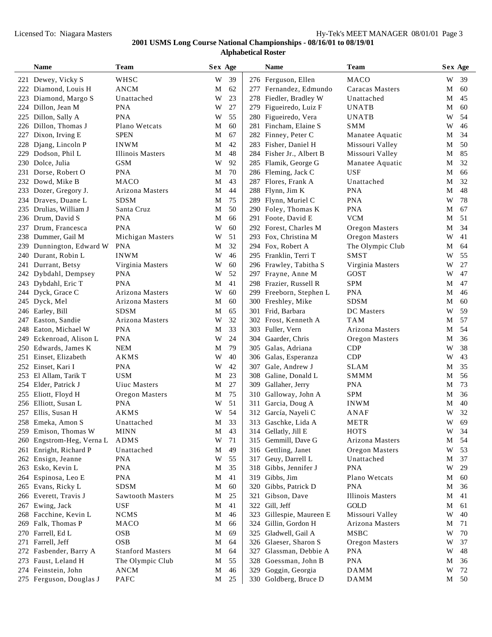|     | Name                    | <b>Team</b>             | Sex Age     |    |     | Name                     | <b>Team</b>      |   | Sex Age |
|-----|-------------------------|-------------------------|-------------|----|-----|--------------------------|------------------|---|---------|
|     | 221 Dewey, Vicky S      | WHSC                    | W           | 39 |     | 276 Ferguson, Ellen      | MACO             | W | 39      |
|     | 222 Diamond, Louis H    | <b>ANCM</b>             | M           | 62 |     | 277 Fernandez, Edmundo   | Caracas Masters  | М | 60      |
|     | 223 Diamond, Margo S    | Unattached              | W           | 23 |     | 278 Fiedler, Bradley W   | Unattached       | М | 45      |
|     | 224 Dillon, Jean M      | <b>PNA</b>              | W           | 27 |     | 279 Figueiredo, Luiz F   | <b>UNATB</b>     | M | 60      |
|     | 225 Dillon, Sally A     | <b>PNA</b>              | W           | 55 |     | 280 Figueiredo, Vera     | <b>UNATB</b>     | W | 54      |
|     | 226 Dillon, Thomas J    | Plano Wetcats           | М           | 60 |     | 281 Fincham, Elaine S    | <b>SMM</b>       | W | 46      |
|     | 227 Dixon, Irving E     | <b>SPEN</b>             | М           | 67 |     | 282 Finney, Peter C      | Manatee Aquatic  | М | 34      |
| 228 | Djang, Lincoln P        | <b>INWM</b>             | М           | 42 |     | 283 Fisher, Daniel H     | Missouri Valley  | М | 50      |
|     | 229 Dodson, Phil L      | Illinois Masters        | М           | 48 |     | 284 Fisher Jr., Albert B | Missouri Valley  | М | 85      |
|     | 230 Dolce, Julia        | <b>GSM</b>              | W           | 92 |     | 285 Flamik, George G     | Manatee Aquatic  | М | 32      |
|     | 231 Dorse, Robert O     | <b>PNA</b>              | М           | 70 |     | 286 Fleming, Jack C      | <b>USF</b>       | М | 66      |
|     | 232 Dowd, Mike B        | <b>MACO</b>             | М           | 43 |     | 287 Flores, Frank A      | Unattached       | М | 32      |
|     | 233 Dozer, Gregory J.   | Arizona Masters         | M           | 44 |     | 288 Flynn, Jim K         | <b>PNA</b>       | М | 48      |
|     | 234 Draves, Duane L     | <b>SDSM</b>             | М           | 75 |     | 289 Flynn, Muriel C      | <b>PNA</b>       | W | 78      |
| 235 | Drulias, William J      | Santa Cruz              | М           | 50 |     | 290 Foley, Thomas K      | <b>PNA</b>       | М | 67      |
|     | 236 Drum, David S       | <b>PNA</b>              | М           | 66 |     | 291 Foote, David E       | <b>VCM</b>       | М | 51      |
| 237 | Drum, Francesca         | <b>PNA</b>              | W           | 60 |     | 292 Forest, Charles M    | Oregon Masters   | М | 34      |
| 238 | Dummer, Gail M          | Michigan Masters        | W           | 51 |     | 293 Fox, Christina M     | Oregon Masters   | W | 41      |
| 239 | Dunnington, Edward W    | <b>PNA</b>              | М           | 32 |     | 294 Fox, Robert A        | The Olympic Club | М | 64      |
| 240 | Durant, Robin L         | <b>INWM</b>             | W           | 46 |     | 295 Franklin, Terri T    | <b>SMST</b>      | W | 55      |
|     | 241 Durrant, Betsy      | Virginia Masters        | W           | 60 |     | 296 Frawley, Tabitha S   | Virginia Masters | W | 27      |
| 242 | Dybdahl, Dempsey        | <b>PNA</b>              | W           | 52 |     | 297 Frayne, Anne M       | GOST             | W | 47      |
|     | 243 Dybdahl, Eric T     | <b>PNA</b>              | М           | 41 |     | 298 Frazier, Russell R   | <b>SPM</b>       | М | 47      |
|     | 244 Dyck, Grace C       | Arizona Masters         | W           | 60 |     | 299 Freeborn, Stephen L  | <b>PNA</b>       | М | 46      |
|     | 245 Dyck, Mel           | Arizona Masters         | М           | 60 |     | 300 Freshley, Mike       | <b>SDSM</b>      | М | 60      |
|     | 246 Earley, Bill        | SDSM                    | М           | 65 |     | 301 Frid, Barbara        | DC Masters       | W | 59      |
|     | 247 Easton, Sandie      | Arizona Masters         | W           | 32 |     | 302 Frost, Kenneth A     | <b>TAM</b>       | М | 57      |
|     | 248 Eaton, Michael W    | <b>PNA</b>              | М           | 33 |     | 303 Fuller, Vern         | Arizona Masters  | М | 54      |
| 249 | Eckenroad, Alison L     | <b>PNA</b>              | W           | 24 | 304 | Gaarder, Chris           | Oregon Masters   | М | 36      |
|     | 250 Edwards, James K    | <b>NEM</b>              | М           | 79 |     | 305 Galas, Adriana       | <b>CDP</b>       | W | 38      |
|     | 251 Einset, Elizabeth   | AKMS                    | W           | 40 |     | 306 Galas, Esperanza     | CDP              | W | 43      |
|     | 252 Einset, Kari I      | <b>PNA</b>              | W           | 42 | 307 | Gale, Andrew J           | <b>SLAM</b>      | М | 35      |
|     | 253 El Allam, Tarik T   | <b>USM</b>              | М           | 23 | 308 | Galine, Donald L         | <b>SMMM</b>      | М | 56      |
|     | 254 Elder, Patrick J    | Uiuc Masters            | М           | 27 | 309 | Gallaher, Jerry          | <b>PNA</b>       | М | 73      |
|     | 255 Eliott, Floyd H     | Oregon Masters          | М           | 75 |     | 310 Galloway, John A     | <b>SPM</b>       | М | 36      |
|     | 256 Elliott, Susan L    | <b>PNA</b>              | W           | 51 | 311 | Garcia, Doug A           | <b>INWM</b>      | М | 40      |
|     | 257 Ellis, Susan H      | AKMS                    | W           | 54 |     | 312 García, Nayeli C     | ANAF             | W | 32      |
|     | 258 Emeka, Amon S       | Unattached              | $\mathbf M$ | 33 |     | 313 Gaschke, Lida A      | <b>METR</b>      |   | W 69    |
|     | 259 Emison, Thomas W    | <b>MINN</b>             | М           | 43 |     | 314 Gellatly, Jill E     | <b>HOTS</b>      | W | 34      |
| 260 | Engstrom-Heg, Verna L   | ADMS                    | W           | 71 |     | 315 Gemmill, Dave G      | Arizona Masters  | М | 54      |
|     | 261 Enright, Richard P  | Unattached              | М           | 49 |     | 316 Gettling, Janet      | Oregon Masters   | W | 53      |
| 262 | Ensign, Jeanne          | <b>PNA</b>              | W           | 55 |     | 317 Geuy, Darrell L      | Unattached       | М | 37      |
| 263 | Esko, Kevin L           | <b>PNA</b>              | M           | 35 | 318 | Gibbs, Jennifer J        | <b>PNA</b>       | W | 29      |
| 264 | Espinosa, Leo E         | <b>PNA</b>              | M           | 41 | 319 | Gibbs, Jim               | Plano Wetcats    | М | 60      |
|     | 265 Evans, Ricky L      | <b>SDSM</b>             | M           | 60 | 320 | Gibbs, Patrick D         | <b>PNA</b>       | M | 36      |
|     | 266 Everett, Travis J   | <b>Sawtooth Masters</b> | M           | 25 | 321 | Gibson, Dave             | Illinois Masters | М | 41      |
|     | 267 Ewing, Jack         | <b>USF</b>              | М           | 41 | 322 | Gill, Jeff               | <b>GOLD</b>      | М | 61      |
|     | 268 Facchine, Kevin L   | <b>NCMS</b>             | M           | 46 | 323 | Gillespie, Maureen E     | Missouri Valley  | W | 40      |
| 269 | Falk, Thomas P          | MACO                    | M           | 66 | 324 | Gillin, Gordon H         | Arizona Masters  | M | 71      |
| 270 | Farrell, Ed L           | <b>OSB</b>              | M           | 69 | 325 | Gladwell, Gail A         | <b>MSBC</b>      | W | 70      |
| 271 | Farrell, Jeff           | <b>OSB</b>              | M           | 64 |     | 326 Glaeser, Sharon S    | Oregon Masters   | W | 37      |
| 272 | Fasbender, Barry A      | <b>Stanford Masters</b> | М           | 64 | 327 | Glassman, Debbie A       | <b>PNA</b>       | W | 48      |
| 273 | Faust, Leland H         | The Olympic Club        | M           | 55 | 328 | Goessman, John B         | <b>PNA</b>       | М | 36      |
| 274 | Feinstein, John         | <b>ANCM</b>             | М           | 46 |     | 329 Goggin, Georgia      | <b>DAMM</b>      | W | 72      |
|     | 275 Ferguson, Douglas J | PAFC                    | M           | 25 |     | 330 Goldberg, Bruce D    | DAMM             |   | M 50    |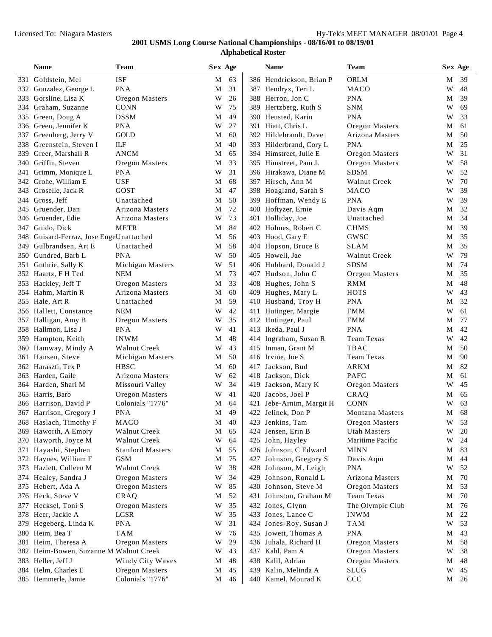|      | Name                                | <b>Team</b>             |   | Sex Age |      | <b>Name</b>              | Team                   |   | Sex Age |
|------|-------------------------------------|-------------------------|---|---------|------|--------------------------|------------------------|---|---------|
|      | 331 Goldstein, Mel                  | <b>ISF</b>              | M | 63      |      | 386 Hendrickson, Brian P | <b>ORLM</b>            | М | 39      |
| 332  | Gonzalez, George L                  | <b>PNA</b>              | M | 31      |      | 387 Hendryx, Teri L      | <b>MACO</b>            | W | 48      |
| 333  | Gorsline, Lisa K                    | Oregon Masters          | W | 26      |      | 388 Herron, Jon C        | <b>PNA</b>             | M | 39      |
| 334  | Graham, Suzanne                     | <b>CONN</b>             | W | 75      |      | 389 Hertzberg, Ruth S    | <b>SNM</b>             | W | 69      |
| 335  | Green, Doug A                       | <b>DSSM</b>             | M | 49      |      | 390 Heusted. Karin       | <b>PNA</b>             | W | 33      |
| 336  | Green, Jennifer K                   | <b>PNA</b>              | W | 27      |      | 391 Hiatt, Chris L       | Oregon Masters         | М | 61      |
| 337  | Greenberg, Jerry V                  | GOLD                    | M | 60      |      | 392 Hildebrandt, Dave    | Arizona Masters        | М | 50      |
| 338  | Greenstein, Steven I                | ILF                     | M | 40      |      | 393 Hilderbrand, Cory L  | <b>PNA</b>             | М | 25      |
| 339  | Greer, Marshall R                   | <b>ANCM</b>             | M | 65      |      | 394 Himstreet, Julie E   | Oregon Masters         | W | 31      |
| 340  | Griffin, Steven                     | Oregon Masters          | M | 33      |      | 395 Himstreet, Pam J.    | Oregon Masters         | W | 58      |
| 341  | Grimm, Monique L                    | <b>PNA</b>              | W | 31      |      | 396 Hirakawa, Diane M    | <b>SDSM</b>            | W | 52      |
| 342  | Grohe, William E                    | USF                     | M | 68      |      | 397 Hirsch, Ann M        | Walnut Creek           | W | 70      |
| 343  | Groselle, Jack R                    | <b>GOST</b>             | M | 47      |      | 398 Hoagland, Sarah S    | MACO                   | W | 39      |
| 344  | Gross, Jeff                         | Unattached              | M | 50      |      | 399 Hoffman, Wendy E     | <b>PNA</b>             | W | 39      |
| 345  | Gruender, Dan                       | Arizona Masters         | M | 72      |      | 400 Hoftyzer, Ernie      | Davis Aqm              | М | 32      |
| 346  | Gruender, Edie                      | Arizona Masters         | W | 73      |      | 401 Holliday, Joe        | Unattached             | М | 34      |
| 347  | Guido, Dick                         | <b>METR</b>             | M | 84      |      | 402 Holmes, Robert C     | <b>CHMS</b>            | М | 39      |
| 348  | Guisard-Ferraz, Jose EugeUnattached |                         | М | 56      |      | 403 Hood, Gary E         | GWSC                   | М | 35      |
| 349. | Gulbrandsen, Art E                  | Unattached              | M | 58      |      | 404 Hopson, Bruce E      | <b>SLAM</b>            | M | 35      |
| 350  | Gundred, Barb L                     | <b>PNA</b>              | W | 50      |      | 405 Howell, Jae          | Walnut Creek           | W | 79      |
| 351  | Guthrie, Sally K                    | Michigan Masters        | W | 51      |      | 406 Hubbard, Donald J    | <b>SDSM</b>            | М | 74      |
|      | 352 Haartz, F H Ted                 | <b>NEM</b>              | M | 73      |      | 407 Hudson, John C       | Oregon Masters         | M | 35      |
|      | 353 Hackley, Jeff T                 | Oregon Masters          | M | 33      |      | 408 Hughes, John S       | <b>RMM</b>             | М | 48      |
|      | 354 Hahm, Martin R                  | Arizona Masters         | M | 60      |      | 409 Hughes, Mary L       | <b>HOTS</b>            | W | 43      |
|      | 355 Hale, Art R                     | Unattached              | M | 59      |      | 410 Husband, Troy H      | <b>PNA</b>             | М | 32      |
|      | 356 Hallett, Constance              | <b>NEM</b>              | W | 42      | 411  | Hutinger, Margie         | <b>FMM</b>             | W | 61      |
|      | 357 Halligan, Amy B                 | Oregon Masters          | W | 35      |      | 412 Hutinger, Paul       | <b>FMM</b>             | М | 77      |
|      | 358 Hallmon, Lisa J                 | <b>PNA</b>              | W | 41      |      | 413 Ikeda, Paul J        | <b>PNA</b>             | М | 42      |
|      | 359 Hampton, Keith                  | <b>INWM</b>             | M | 48      |      | 414 Ingraham, Susan R    | <b>Team Texas</b>      | W | 42      |
| 360  | Hamway, Mindy A                     | Walnut Creek            | W | 43      | 415  | Inman, Grant M           | TBAC                   | М | 50      |
|      | 361 Hansen, Steve                   | Michigan Masters        | M | 50      |      | 416 Irvine, Joe S        | <b>Team Texas</b>      | М | 90      |
|      | 362 Haraszti, Tex P                 | <b>HBSC</b>             | M | 60      | 417  | Jackson, Bud             | <b>ARKM</b>            | М | 82      |
|      | 363 Harden, Gaile                   | Arizona Masters         | W | 62      |      | 418 Jackson, Dick        | <b>PAFC</b>            | М | 61      |
|      | 364 Harden, Shari M                 | Missouri Valley         | W | 34      | 419- | Jackson, Mary K          | Oregon Masters         | W | 45      |
|      | 365 Harris, Barb                    | Oregon Masters          | W | 41      | 420  | Jacobs, Joel P           | CRAQ                   | M | 65      |
|      | 366 Harrison, David P               | Colonials "1776"        | M | 64      | 421  | Jebe-Arnim, Margit H     | <b>CONN</b>            | W | 63      |
|      | 367 Harrison, Gregory J             | <b>PNA</b>              | M | 49      |      | 422 Jelinek, Don P       | Montana Masters        | M | 68      |
|      | 368 Haslach, Timothy F              | MACO                    | M | $40\,$  |      | 423 Jenkins, Tam         | Oregon Masters         | W | 53      |
|      | 369 Haworth, A Emory                | Walnut Creek            | M | 65      |      | 424 Jensen, Erin B       | Utah Masters           | W | 20      |
|      | 370 Haworth, Joyce M                | Walnut Creek            | W | 64      |      | 425 John, Hayley         | Maritime Pacific       | W | 24      |
|      | 371 Hayashi, Stephen                | <b>Stanford Masters</b> | M | 55      |      | 426 Johnson, C Edward    | <b>MINN</b>            | М | 83      |
| 372  | Haynes, William F                   | <b>GSM</b>              | M | 75      | 427  | Johnson, Gregory S       | Davis Aqm              | М | 44      |
| 373  | Hazlett, Colleen M                  | Walnut Creek            | W | 38      |      | 428 Johnson, M. Leigh    | <b>PNA</b>             | W | 52      |
| 374  | Healey, Sandra J                    | Oregon Masters          | W | 34      | 429  | Johnson, Ronald L        | <b>Arizona Masters</b> | M | 70      |
|      | 375 Hebert, Ada A                   | Oregon Masters          | W | 85      |      | 430 Johnson, Steve M     | Oregon Masters         | M | 53      |
|      | 376 Heck, Steve V                   | CRAQ                    | M | 52      |      | 431 Johnston, Graham M   | Team Texas             | M | 70      |
|      | 377 Hecksel, Toni S                 | Oregon Masters          | W | 35      |      | 432 Jones, Glynn         | The Olympic Club       | M | 76      |
|      | 378 Heer, Jackie A                  | LGSR                    | W | 35      |      | 433 Jones, Lance C       | <b>INWM</b>            | M | 22      |
| 379  | Hegeberg, Linda K                   | <b>PNA</b>              | W | 31      |      | 434 Jones-Roy, Susan J   | <b>TAM</b>             | W | 53      |
| 380  | Heim, Bea T                         | <b>TAM</b>              | W | 76      |      | 435 Jowett, Thomas A     | <b>PNA</b>             | M | 43      |
|      | 381 Heim, Theresa A                 | Oregon Masters          | W | 29      |      | 436 Juhala, Richard H    | Oregon Masters         | M | 58      |
| 382  | Heim-Bowen, Suzanne M Walnut Creek  |                         | W | 43      |      | 437 Kahl, Pam A          | Oregon Masters         | W | 38      |
|      | 383 Heller, Jeff J                  | Windy City Waves        | M | 48      |      | 438 Kalil, Adrian        | Oregon Masters         | M | 48      |
|      | 384 Helm, Charles E                 | Oregon Masters          | M | 45      |      | 439 Kalin, Melinda A     | <b>SLUG</b>            | W | 45      |
|      | 385 Hemmerle, Jamie                 | Colonials "1776"        | M | 46      |      | 440 Kamel, Mourad K      | CCC                    | M | 26      |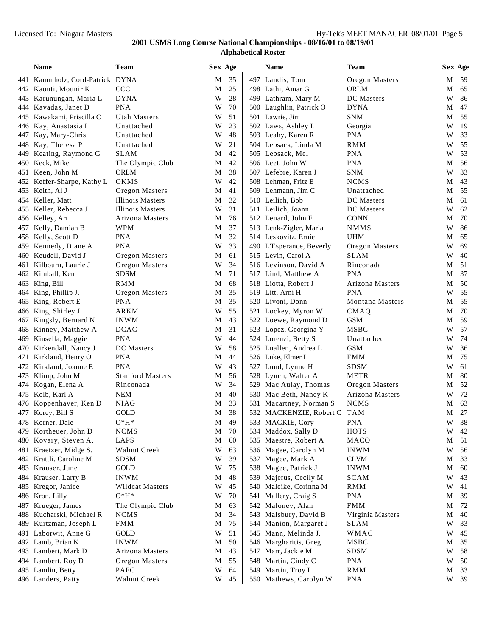|     | Name                            | Team                       | Sex Age     |    |     | Name                        | Team             |   | Sex Age       |
|-----|---------------------------------|----------------------------|-------------|----|-----|-----------------------------|------------------|---|---------------|
|     | 441 Kammholz, Cord-Patrick DYNA |                            | M           | 35 |     | 497 Landis, Tom             | Oregon Masters   | М | -59           |
|     | 442 Kaouti, Mounir K            | CCC                        | M           | 25 |     | 498 Lathi, Amar G           | <b>ORLM</b>      | М | 65            |
|     | 443 Karunungan, Maria L         | <b>DYNA</b>                | W           | 28 |     | 499 Lathram, Mary M         | DC Masters       | W | 86            |
| 444 | Kavadas, Janet D                | <b>PNA</b>                 | W           | 70 |     | 500 Laughlin, Patrick O     | <b>DYNA</b>      | М | 47            |
| 445 | Kawakami, Priscilla C           | Utah Masters               | W           | 51 |     | 501 Lawrie, Jim             | <b>SNM</b>       | М | 55            |
| 446 | Kay, Anastasia I                | Unattached                 | W           | 23 |     | 502 Laws, Ashley L          | Georgia          | W | 19            |
| 447 | Kay, Mary-Chris                 | Unattached                 | W           | 48 |     | 503 Leahy, Karen R          | <b>PNA</b>       | W | 33            |
| 448 | Kay, Theresa P                  | Unattached                 | W           | 21 |     | 504 Lebsack, Linda M        | <b>RMM</b>       | W | 55            |
| 449 | Keating, Raymond G              | <b>SLAM</b>                | M           | 42 |     | 505 Lebsack, Mel            | <b>PNA</b>       | W | 53            |
|     | 450 Keck, Mike                  | The Olympic Club           | М           | 42 |     | 506 Leet, John W            | <b>PNA</b>       | M | 56            |
|     | 451 Keen, John M                | ORLM                       | M           | 38 |     | 507 Lefebre, Karen J        | <b>SNM</b>       | W | 33            |
|     | 452 Keffer-Sharpe, Kathy L      | OKMS                       | W           | 42 |     | 508 Lehman, Fritz E         | <b>NCMS</b>      | М | 43            |
|     | 453 Keith, Al J                 | Oregon Masters             | M           | 41 |     | 509 Lehmann, Jim C          | Unattached       | M | 55            |
|     | 454 Keller, Matt                | <b>Illinois Masters</b>    | M           | 32 |     | 510 Leilich, Bob            | DC Masters       | М | 61            |
|     | 455 Keller, Rebecca J           | <b>Illinois Masters</b>    | W           | 31 |     | 511 Leilich, Joann          | DC Masters       | W | 62            |
|     | 456 Kelley, Art                 | Arizona Masters            | M           | 76 |     | 512 Lenard, John F          | <b>CONN</b>      | М | 70            |
| 457 | Kelly, Damian B                 | <b>WPM</b>                 | M           | 37 |     | 513 Lenk-Zigler, Maria      | <b>NMMS</b>      | W | 86            |
| 458 | Kelly, Scott D                  | <b>PNA</b>                 | M           | 32 |     | 514 Leskovitz, Ernie        | <b>UHM</b>       | М | 65            |
| 459 | Kennedy, Diane A                | <b>PNA</b>                 | W           | 33 |     | 490 L'Esperance, Beverly    | Oregon Masters   | W | 69            |
| 460 | Keudell, David J                | Oregon Masters             | M           | 61 |     | 515 Levin, Carol A          | <b>SLAM</b>      | W | 40            |
|     | 461 Kilbourn, Laurie J          | Oregon Masters             | W           | 34 |     | 516 Levinson, David A       | Rinconada        | М | 51            |
|     | 462 Kimball, Ken                | <b>SDSM</b>                | M           | 71 |     | 517 Lind, Matthew A         | <b>PNA</b>       | М | 37            |
|     | 463 King, Bill                  | <b>RMM</b>                 | M           | 68 |     | 518 Liotta, Robert J        | Arizona Masters  | М | 50            |
| 464 | King, Phillip J.                | Oregon Masters             | M           | 35 |     | 519 Litt, Arni H            | <b>PNA</b>       | W | 55            |
| 465 | King, Robert E                  | <b>PNA</b>                 | M           | 35 |     | 520 Livoni, Donn            | Montana Masters  | М | 55            |
| 466 | King, Shirley J                 | <b>ARKM</b>                | W           | 55 |     | 521 Lockey, Myron W         | CMAQ             | М | 70            |
| 467 | Kingsly, Bernard N              | <b>INWM</b>                | M           | 43 |     | 522 Loewe, Raymond D        | <b>GSM</b>       | М | 59            |
| 468 | Kinney, Matthew A               | <b>DCAC</b>                | M           | 31 |     | 523 Lopez, Georgina Y       | <b>MSBC</b>      | W | 57            |
| 469 | Kinsella, Maggie                | <b>PNA</b>                 | W           | 44 |     | 524 Lorenzi, Betty S        | Unattached       | W | 74            |
| 470 | Kirkendall, Nancy J             | DC Masters                 | W           | 58 |     | 525 Luallen, Andrea L       | <b>GSM</b>       | W | 36            |
| 471 | Kirkland, Henry O               | <b>PNA</b>                 | M           | 44 |     | 526 Luke, Elmer L           | <b>FMM</b>       | М | 75            |
|     | 472 Kirkland, Joanne E          | <b>PNA</b>                 | W           | 43 |     | 527 Lund, Lynne H           | <b>SDSM</b>      | W | 61            |
|     | 473 Klimp, John M               | <b>Stanford Masters</b>    | M           | 56 |     | 528 Lynch, Walter A         | <b>METR</b>      | М | 80            |
| 474 | Kogan, Elena A                  | Rinconada                  | W           | 34 |     | 529 Mac Aulay, Thomas       | Oregon Masters   | М | 52            |
|     | 475 Kolb, Karl A                | <b>NEM</b>                 | M           | 40 |     | 530 Mac Beth, Nancy K       | Arizona Masters  | W | 72            |
| 476 | Koppenhaver, Ken D              | <b>NIAG</b>                | M           | 33 | 531 | Macartney, Norman S         | <b>NCMS</b>      | М | 63            |
|     | 477 Korey, Bill S               | GOLD                       | M           | 38 |     | 532 MACKENZIE, Robert C TAM |                  | М | 27            |
|     | 478 Korner, Dale                | $\mathrm{O}^*\mathrm{H}^*$ | $\mathbf M$ | 49 |     | 533 MACKIE, Cory            | <b>PNA</b>       |   | $\rm W$ $-38$ |
|     | 479 Kortheuer, John D           | <b>NCMS</b>                | M           | 70 |     | 534 Maddox, Sally D         | <b>HOTS</b>      | W | 42            |
| 480 | Kovary, Steven A.               | LAPS                       | M           | 60 |     | 535 Maestre, Robert A       | MACO             | M | 51            |
| 481 | Kraetzer, Midge S.              | Walnut Creek               | W           | 63 |     | 536 Magee, Carolyn M        | <b>INWM</b>      | W | 56            |
| 482 | Krattli, Caroline M             | <b>SDSM</b>                | W           | 39 |     | 537 Magee, Mark A           | <b>CLVM</b>      | M | 33            |
| 483 | Krauser, June                   | GOLD                       | W           | 75 |     | 538 Magee, Patrick J        | <b>INWM</b>      | M | 60            |
| 484 | Krauser, Larry B                | <b>INWM</b>                | M           | 48 |     | 539 Majerus, Cecily M       | <b>SCAM</b>      | W | 43            |
| 485 | Kregor, Janice                  | <b>Wildcat Masters</b>     | W           | 45 |     | 540 Maleike, Corinna M      | <b>RMM</b>       | W | 41            |
|     | 486 Kron, Lilly                 | $O*H*$                     | W           | 70 | 541 | Mallery, Craig S            | <b>PNA</b>       | М | 39            |
| 487 | Krueger, James                  | The Olympic Club           | M           | 63 |     | 542 Maloney, Alan           | <b>FMM</b>       | М | 72            |
| 488 | Kucharski, Michael R            | <b>NCMS</b>                | M           | 34 |     | 543 Malsbury, David B       | Virginia Masters | M | 40            |
| 489 | Kurtzman, Joseph L              | <b>FMM</b>                 | M           | 75 |     | 544 Manion, Margaret J      | <b>SLAM</b>      | W | 33            |
|     | 491 Laborwit, Anne G            | GOLD                       | W           | 51 |     | 545 Mann, Melinda J.        | <b>WMAC</b>      | W | 45            |
|     | 492 Lamb, Brian K               | <b>INWM</b>                | M           | 50 |     | 546 Margharitis, Greg       | MSBC             | M | 35            |
|     | 493 Lambert, Mark D             | Arizona Masters            | M           | 43 |     | 547 Marr, Jackie M          | <b>SDSM</b>      | W | 58            |
| 494 | Lambert, Roy D                  | Oregon Masters             | M           | 55 |     | 548 Martin, Cindy C         | <b>PNA</b>       | W | 50            |
|     | 495 Lamlin, Betty               | <b>PAFC</b>                | W           | 64 |     | 549 Martin, Troy L          | <b>RMM</b>       | M | 33            |
|     | 496 Landers, Patty              | Walnut Creek               | W           | 45 |     | 550 Mathews, Carolyn W      | <b>PNA</b>       | W | 39            |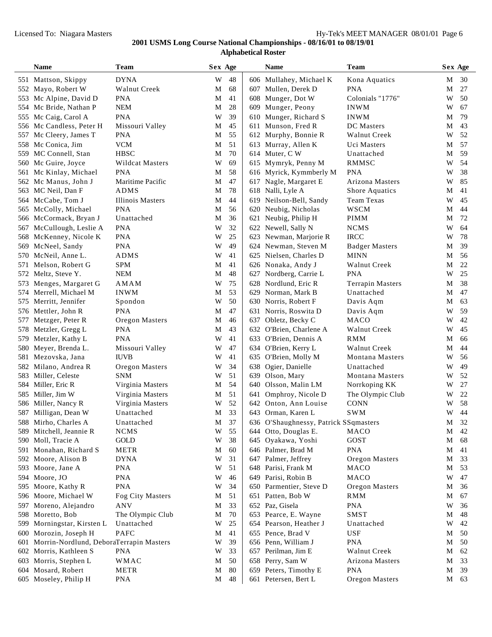|     | Name                                    | Team                    | Sex Age     |        | <b>Name</b>                           | Team                    | Sex Age |      |
|-----|-----------------------------------------|-------------------------|-------------|--------|---------------------------------------|-------------------------|---------|------|
|     | 551 Mattson, Skippy                     | <b>DYNA</b>             | W           | 48     | 606 Mullahey, Michael K               | Kona Aquatics           | М       | 30   |
|     | 552 Mayo, Robert W                      | Walnut Creek            | M           | 68     | 607 Mullen, Derek D                   | <b>PNA</b>              | M       | 27   |
|     | 553 Mc Alpine, David D                  | <b>PNA</b>              | М           | 41     | 608 Munger, Dot W                     | Colonials "1776"        | W       | 50   |
|     | 554 Mc Bride, Nathan P                  | NEM                     | М           | 28     | 609 Munger, Peony                     | <b>INWM</b>             | W       | 67   |
| 555 | Mc Caig, Carol A                        | <b>PNA</b>              | W           | 39     | 610 Munger, Richard S                 | <b>INWM</b>             | М       | 79   |
| 556 | Mc Candless, Peter H                    | Missouri Valley         | M           | 45     | 611 Munson, Fred R                    | DC Masters              | М       | 43   |
| 557 | Mc Cleery, James T                      | PNA                     | М           | 55     | 612 Murphy, Bonnie R                  | Walnut Creek            | W       | 52   |
|     | 558 Mc Conica, Jim                      | <b>VCM</b>              | М           | 51     | 613 Murray, Allen K                   | Uci Masters             | M       | 57   |
|     | 559 MC Connell, Stan                    | <b>HBSC</b>             | М           | 70     | 614 Muter, C W                        | Unattached              | М       | 59   |
|     | 560 Mc Guire, Joyce                     | Wildcat Masters         | W           | 69     | 615 Mymryk, Penny M                   | RMMSC                   | W       | 54   |
|     | 561 Mc Kinlay, Michael                  | <b>PNA</b>              | М           | 58     | 616 Myrick, Kymmberly M               | <b>PNA</b>              | W       | 38   |
|     | 562 Mc Manus, John J                    | Maritime Pacific        | М           | 47     | 617 Nagle, Margaret E                 | Arizona Masters         | W       | 85   |
|     | 563 MC Neil, Dan F                      | <b>ADMS</b>             | М           | 78     | 618 Nalli, Lyle A                     | Shore Aquatics          | М       | 41   |
|     | 564 McCabe, Tom J                       | <b>Illinois Masters</b> | М           | 44     | 619 Neilson-Bell, Sandy               | Team Texas              | W       | 45   |
| 565 | McColly, Michael                        | <b>PNA</b>              | М           | 56     | 620 Neubig, Nicholas                  | <b>WSCM</b>             | М       | 44   |
| 566 | McCormack, Bryan J                      | Unattached              | М           | 36     | 621 Neubig, Philip H                  | <b>PIMM</b>             | М       | 72   |
| 567 | McCullough, Leslie A                    | <b>PNA</b>              | W           | 32     | 622 Newell, Sally N                   | <b>NCMS</b>             | W       | 64   |
| 568 | McKenney, Nicole K                      | <b>PNA</b>              | W           | 25     | 623 Newman, Marjorie R                | <b>IRCC</b>             | W       | 78   |
| 569 | McNeel, Sandy                           | <b>PNA</b>              | W           | 49     | 624 Newman, Steven M                  | <b>Badger Masters</b>   | М       | 39   |
|     | 570 McNeil, Anne L.                     | <b>ADMS</b>             | W           | 41     | 625 Nielsen, Charles D                | <b>MINN</b>             | М       | 56   |
| 571 | Melson, Robert G                        | <b>SPM</b>              | М           | 41     | 626 Nonaka, Andy J                    | <b>Walnut Creek</b>     | М       | 22   |
|     | 572 Meltz, Steve Y.                     | NEM                     | М           | 48     | 627 Nordberg, Carrie L                | <b>PNA</b>              | W       | 25   |
|     | 573 Menges, Margaret G                  | AMAM                    | W           | 75     | 628 Nordlund, Eric R                  | <b>Terrapin Masters</b> | М       | 38   |
|     | 574 Merrell, Michael M                  | <b>INWM</b>             | M           | 53     | 629 Norman, Mark B                    | Unattached              | М       | 47   |
| 575 | Merritt, Jennifer                       | Spondon                 | W           | 50     | 630 Norris, Robert F                  | Davis Aqm               | М       | 63   |
| 576 | Mettler, John R                         | <b>PNA</b>              | М           | 47     | 631 Norris, Roswita D                 | Davis Aqm               | W       | 59   |
| 577 | Metzger, Peter R                        | Oregon Masters          | М           | 46     | 637 Obletz, Becky C                   | MACO                    | W       | 42   |
| 578 | Metzler, Gregg L                        | <b>PNA</b>              | М           | 43     | 632 O'Brien, Charlene A               | Walnut Creek            | W       | 45   |
| 579 | Metzler, Kathy L                        | <b>PNA</b>              | W           | 41     | 633 O'Brien, Dennis A                 | <b>RMM</b>              | М       | 66   |
|     | 580 Meyer, Brenda L.                    | Missouri Valley         | W           | 47     | 634 O'Brien, Kerry L                  | Walnut Creek            | М       | 44   |
|     | 581 Mezovska, Jana                      | <b>IUVB</b>             | W           | 41     | 635 O'Brien, Molly M                  | <b>Montana Masters</b>  | W       | 56   |
|     | 582 Milano, Andrea R                    | Oregon Masters          | W           | 34     | 638 Ogier, Danielle                   | Unattached              | W       | 49   |
|     | 583 Miller, Celeste                     | SNM                     | W           | 51     | 639 Olson, Mary                       | <b>Montana Masters</b>  | W       | 52   |
|     | 584 Miller, Eric R                      | Virginia Masters        | М           | 54     | 640 Olsson, Malin LM                  | Norrkoping KK           | W       | 27   |
|     | 585 Miller, Jim W                       | Virginia Masters        | М           | 51     | 641 Omphroy, Nicole D                 | The Olympic Club        | W       | 22   |
|     | 586 Miller, Nancy R                     | Virginia Masters        | W           | 52     | 642 Onton, Ann Louise                 | <b>CONN</b>             | W       | 58   |
|     | 587 Milligan, Dean W                    | Unattached              | М           | 33     | 643 Orman, Karen L                    | <b>SWM</b>              | W       | 44   |
|     | 588 Mirho, Charles A                    | Unattached              | $\mathbf M$ | $37\,$ | 636 O'Shaughnessy, Patrick SSqmasters |                         |         | M 32 |
|     | 589 Mitchell, Jeannie R                 | <b>NCMS</b>             | W           | 55     | 644 Otto, Douglas E.                  | MACO                    | M       | 42   |
|     | 590 Moll, Tracie A                      | GOLD                    | W           | 38     | 645 Oyakawa, Yoshi                    | GOST                    | M       | 68   |
| 591 | Monahan, Richard S                      | <b>METR</b>             | M           | 60     | 646 Palmer, Brad M                    | <b>PNA</b>              | М       | 41   |
|     | 592 Moore, Alison B                     | <b>DYNA</b>             | W           | 31     | 647 Palmer, Jeffrey                   | Oregon Masters          | M       | 33   |
|     | 593 Moore, Jane A                       | <b>PNA</b>              | W           | 51     | 648 Parisi, Frank M                   | MACO                    | M       | 53   |
|     | 594 Moore, JO                           | <b>PNA</b>              | W           | 46     | 649 Parisi, Robin B                   | MACO                    | W       | 47   |
|     | 595 Moore, Kathy R                      | <b>PNA</b>              | W           | 34     | 650 Parmentier, Steve D               | Oregon Masters          | M       | 36   |
|     | 596 Moore, Michael W                    | Fog City Masters        | M           | 51     | 651 Patten, Bob W                     | RMM                     | М       | 67   |
|     | 597 Moreno, Alejandro                   | ANV                     | M           | 33     | 652 Paz, Gisela                       | <b>PNA</b>              | W       | 36   |
|     | 598 Moretto, Bob                        | The Olympic Club        | M           | 70     | 653 Pearce, E. Wayne                  | <b>SMST</b>             | М       | 48   |
| 599 | Morningstar, Kirsten L                  | Unattached              | W           | 25     | 654 Pearson, Heather J                | Unattached              | W       | 42   |
| 600 | Morozin, Joseph H                       | <b>PAFC</b>             | M           | 41     | 655 Pence, Brad V                     | <b>USF</b>              | M       | 50   |
| 601 | Morrin-Nordlund, DeboraTerrapin Masters |                         | W           | 39     | 656 Penn, William J                   | <b>PNA</b>              | M       | 50   |
| 602 | Morris, Kathleen S                      | <b>PNA</b>              | W           | 33     | 657 Perilman, Jim E                   | Walnut Creek            | M       | 62   |
| 603 | Morris, Stephen L                       | WMAC                    | M           | 50     | 658 Perry, Sam W                      | Arizona Masters         | M       | 33   |
|     | 604 Mosard, Robert                      | <b>METR</b>             | M           | 80     | 659 Peters, Timothy E                 | <b>PNA</b>              | M       | 39   |
|     | 605 Moseley, Philip H                   | <b>PNA</b>              | M           | 48     | 661 Petersen, Bert L                  | Oregon Masters          |         | M 63 |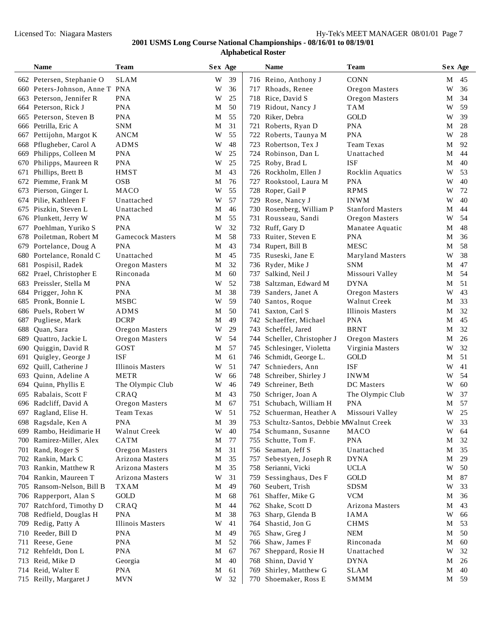|     | Name                           | <b>Team</b>             |             | Sex Age |     | <b>Name</b>                              | <b>Team</b>             |   | Sex Age |
|-----|--------------------------------|-------------------------|-------------|---------|-----|------------------------------------------|-------------------------|---|---------|
|     | 662 Petersen, Stephanie O      | <b>SLAM</b>             | W           | 39      |     | 716 Reino, Anthony J                     | <b>CONN</b>             | М | 45      |
|     | 660 Peters-Johnson, Anne T PNA |                         | W           | 36      |     | 717 Rhoads, Renee                        | Oregon Masters          | W | 36      |
|     | 663 Peterson, Jennifer R       | <b>PNA</b>              | W           | 25      |     | 718 Rice, David S                        | Oregon Masters          | М | 34      |
| 664 | Peterson, Rick J               | <b>PNA</b>              | M           | 50      |     | 719 Ridout, Nancy J                      | TAM                     | W | 59      |
| 665 | Peterson, Steven B             | <b>PNA</b>              | M           | 55      |     | 720 Riker, Debra                         | <b>GOLD</b>             | W | 39      |
| 666 | Petrilla, Eric A               | <b>SNM</b>              | M           | 31      | 721 | Roberts, Ryan D                          | <b>PNA</b>              | М | 28      |
|     | 667 Pettijohn, Margot K        | <b>ANCM</b>             | W           | 55      |     | 722 Roberts, Taunya M                    | <b>PNA</b>              | W | 28      |
| 668 | Pflugheber, Carol A            | <b>ADMS</b>             | W           | 48      |     | 723 Robertson, Tex J                     | <b>Team Texas</b>       | М | 92      |
|     | 669 Philipps, Colleen M        | <b>PNA</b>              | W           | 25      |     | 724 Robinson, Dan L                      | Unattached              | М | 44      |
| 670 | Philipps, Maureen R            | <b>PNA</b>              | W           | 25      |     | 725 Roby, Brad L                         | <b>ISF</b>              | М | 40      |
| 671 | Phillips, Brett B              | <b>HMST</b>             | M           | 43      |     | 726 Rockholm, Ellen J                    | <b>Rocklin Aquatics</b> | W | 53      |
| 672 | Piemme, Frank M                | <b>OSB</b>              | M           | 76      | 727 | Rookstool, Laura M                       | <b>PNA</b>              | W | 40      |
| 673 | Pierson, Ginger L              | MACO                    | W           | 55      |     | 728 Roper, Gail P                        | <b>RPMS</b>             | W | 72      |
| 674 | Pilie, Kathleen F              | Unattached              | W           | 57      |     | 729 Rose, Nancy J                        | <b>INWM</b>             | W | 40      |
| 675 | Piszkin, Steven L              | Unattached              | M           | 46      |     | 730 Rosenberg, William P                 | <b>Stanford Masters</b> | М | 44      |
| 676 | Plunkett, Jerry W              | <b>PNA</b>              | M           | 55      |     | 731 Rousseau, Sandi                      | Oregon Masters          | W | 54      |
| 677 | Poehlman, Yuriko S             | <b>PNA</b>              | W           | 32      |     | 732 Ruff, Gary D                         | Manatee Aquatic         | М | 48      |
| 678 | Poiletman, Robert M            | <b>Gamecock Masters</b> | M           | 58      |     | 733 Ruiter, Steven E                     | <b>PNA</b>              | M | 36      |
| 679 | Portelance, Doug A             | <b>PNA</b>              | M           | 43      |     | 734 Rupert, Bill B                       | <b>MESC</b>             | M | 58      |
| 680 | Portelance, Ronald C           | Unattached              | M           | 45      |     | 735 Ruseski, Jane E                      | <b>Maryland Masters</b> | W | 38      |
|     | 681 Pospisil, Radek            | Oregon Masters          | M           | 32      |     | 736 Ryder, Mike J                        | <b>SNM</b>              | М | 47      |
| 682 | Prael, Christopher E           | Rinconada               | M           | 60      |     | 737 Salkind, Neil J                      | Missouri Valley         | М | 54      |
|     | 683 Preissler, Stella M        | <b>PNA</b>              | W           | 52      |     | 738 Saltzman, Edward M                   | <b>DYNA</b>             | М | 51      |
| 684 | Prigger, John K                | <b>PNA</b>              | M           | 38      |     | 739 Sanders, Janet A                     | Oregon Masters          | W | 43      |
|     | 685 Pronk, Bonnie L            | <b>MSBC</b>             | W           | 59      |     | 740 Santos, Roque                        | Walnut Creek            | М | 33      |
| 686 | Puels, Robert W                | ADMS                    | M           | 50      | 741 | Saxton, Carl S                           | <b>Illinois Masters</b> | М | 32      |
| 687 | Pugliese, Mark                 | <b>DCRP</b>             | M           | 49      |     | 742 Schaeffer, Michael                   | <b>PNA</b>              | М | 45      |
| 688 | Quan, Sara                     | Oregon Masters          | W           | 29      |     | 743 Scheffel, Jared                      | <b>BRNT</b>             | М | 32      |
| 689 | Quattro, Jackie L              | Oregon Masters          | W           | 54      |     | 744 Scheller, Christopher J              | Oregon Masters          | М | 26      |
| 690 | Quiggin, David R               | GOST                    | M           | 57      |     | 745 Schlesinger, Violetta                | Virginia Masters        | W | 32      |
| 691 | Quigley, George J              | <b>ISF</b>              | M           | 61      |     | 746 Schmidt, George L.                   | GOLD                    | М | 51      |
| 692 | Quill, Catherine J             | <b>Illinois Masters</b> | W           | 51      |     | 747 Schnieders, Ann                      | <b>ISF</b>              | W | 41      |
| 693 | Quinn, Adeline A               | <b>METR</b>             | W           | 66      |     | 748 Schreiber, Shirley J                 | <b>INWM</b>             | W | 54      |
| 694 | Quinn, Phyllis E               | The Olympic Club        | W           | 46      |     | 749 Schreiner, Beth                      | DC Masters              | W | 60      |
|     | 695 Rabalais, Scott F          | CRAQ                    | M           | 43      |     | 750 Schriger, Joan A                     | The Olympic Club        | W | 37      |
| 696 | Radcliff, David A              | Oregon Masters          | M           | 67      | 751 | Schubach, William H                      | <b>PNA</b>              | М | 57      |
|     | 697 Ragland, Elise H.          | Team Texas              | W           | 51      |     | 752 Schuerman, Heather A                 | Missouri Valley         | W | 25      |
|     | 698 Ragsdale, Ken A            | <b>PNA</b>              | $\mathbf M$ | 39      |     | 753 Schultz-Santos, Debbie MWalnut Creek |                         |   | W 33    |
| 699 | Rambo, Heidimarie H            | Walnut Creek            | W           | 40      |     | 754 Schumann, Susanne                    | MACO                    | W | 64      |
| 700 | Ramirez-Miller, Alex           | CATM                    | M           | 77      |     | 755 Schutte, Tom F.                      | <b>PNA</b>              | M | 32      |
| 701 | Rand, Roger S                  | Oregon Masters          | M           | 31      |     | 756 Seaman, Jeff S                       | Unattached              | M | 35      |
| 702 | Rankin, Mark C                 | <b>Arizona Masters</b>  | M           | 35      |     | 757 Sebestyen, Joseph R                  | <b>DYNA</b>             | M | 29      |
| 703 | Rankin, Matthew R              | Arizona Masters         | M           | 35      |     | 758 Serianni, Vicki                      | <b>UCLA</b>             | W | 50      |
| 704 | Rankin, Maureen T              | Arizona Masters         | W           | 31      |     | 759 Sessinghaus, Des F                   | GOLD                    | M | 87      |
| 705 | Ransom-Nelson, Bill B          | <b>TXAM</b>             | M           | 49      |     | 760 Seubert, Trish                       | <b>SDSM</b>             | W | 33      |
| 706 | Rapperport, Alan S             | GOLD                    | M           | 68      |     | 761 Shaffer, Mike G                      | <b>VCM</b>              | М | 36      |
| 707 | Ratchford, Timothy D           | <b>CRAO</b>             | M           | 44      |     | 762 Shake, Scott D                       | Arizona Masters         | М | 43      |
| 708 | Redfield, Douglas H            | <b>PNA</b>              | M           | 38      |     | 763 Sharp, Glenda B                      | <b>IAMA</b>             | W | 66      |
| 709 | Redig, Patty A                 | <b>Illinois Masters</b> | W           | 41      |     | 764 Shastid, Jon G                       | <b>CHMS</b>             | M | 53      |
| 710 | Reeder, Bill D                 | <b>PNA</b>              | M           | 49      |     | 765 Shaw, Greg J                         | <b>NEM</b>              | M | 50      |
| 711 | Reese, Gene                    | <b>PNA</b>              | M           | 52      |     | 766 Shaw, James F                        | Rinconada               | M | 60      |
| 712 | Rehfeldt, Don L                | <b>PNA</b>              | M           | 67      |     | 767 Sheppard, Rosie H                    | Unattached              | W | 32      |
| 713 | Reid, Mike D                   | Georgia                 | M           | 40      |     | 768 Shinn, David Y                       | <b>DYNA</b>             | M | 26      |
| 714 | Reid, Walter E                 | <b>PNA</b>              | M           | 61      |     | 769 Shirley, Matthew G                   | <b>SLAM</b>             | M | 40      |
|     | 715 Reilly, Margaret J         | <b>MVN</b>              | W           | 32      |     | 770 Shoemaker, Ross E                    | SMMM                    |   | M 59    |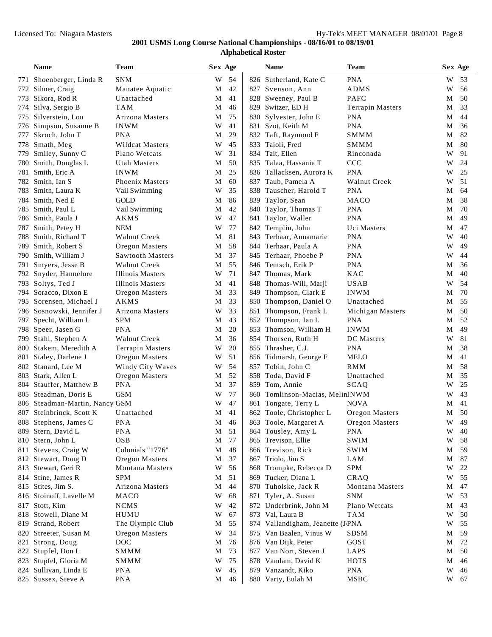|      | <b>Name</b>                               | Team                                     |        | Sex Age  |     | <b>Name</b>                                | Team                          |        | Sex Age  |
|------|-------------------------------------------|------------------------------------------|--------|----------|-----|--------------------------------------------|-------------------------------|--------|----------|
|      | 771 Shoenberger, Linda R                  | <b>SNM</b>                               | W      | 54       |     | 826 Sutherland, Kate C                     | <b>PNA</b>                    | W      | 53       |
| 772  | Sihner, Craig                             | Manatee Aquatic                          | M      | 42       |     | 827 Svenson, Ann                           | ADMS                          | W      | 56       |
| 773  | Sikora, Rod R                             | Unattached                               | М      | 41       |     | 828 Sweeney, Paul B                        | PAFC                          | М      | 50       |
| 774  | Silva, Sergio B                           | TAM                                      | М      | 46       |     | 829 Switzer, ED H                          | <b>Terrapin Masters</b>       | М      | 33       |
| 775  | Silverstein, Lou                          | Arizona Masters                          | М      | 75       |     | 830 Sylvester, John E                      | <b>PNA</b>                    | М      | 44       |
| 776  | Simpson, Susanne B                        | <b>INWM</b>                              | W      | 41       |     | 831 Szot, Keith M                          | <b>PNA</b>                    | М      | 36       |
| 777  | Skroch, John T                            | <b>PNA</b>                               | М      | 29       |     | 832 Taft, Raymond F                        | SMMM                          | М      | 82       |
| 778  | Smath, Meg                                | <b>Wildcat Masters</b>                   | W      | 45       | 833 | Taioli, Fred                               | SMMM                          | М      | 80       |
| 779  | Smiley, Sunny C                           | Plano Wetcats                            | W      | 31       | 834 | Tait, Ellen                                | Rinconada                     | W      | 91       |
| 780- | Smith, Douglas L                          | Utah Masters                             | М      | 50       |     | 835 Talaa, Hassania T                      | CCC                           | W      | 24       |
| 781  | Smith, Eric A                             | <b>INWM</b>                              | М      | 25       |     | 836 Tallacksen, Aurora K                   | <b>PNA</b>                    | W      | 25       |
| 782  | Smith, Ian S                              | Phoenix Masters                          | М      | 60       | 837 | Taub, Pamela A                             | Walnut Creek                  | W      | 51       |
| 783  | Smith, Laura K                            | Vail Swimming                            | W      | 35       |     | 838 Tauscher, Harold T                     | <b>PNA</b>                    | М      | 64       |
| 784  | Smith, Ned E                              | GOLD                                     | М      | 86       | 839 | Taylor, Sean                               | MACO                          | М      | 38       |
| 785  | Smith, Paul L                             | Vail Swimming                            | М      | 42       | 840 | Taylor, Thomas T                           | <b>PNA</b>                    | М      | 70       |
| 786  | Smith, Paula J                            | AKMS                                     | W      | 47       | 841 | Taylor, Waller                             | <b>PNA</b>                    | М      | 49       |
| 787  | Smith, Petey H                            | <b>NEM</b>                               | W      | 77       |     | 842 Templin, John                          | Uci Masters                   | М      | 47       |
| 788  | Smith, Richard T                          | Walnut Creek                             | М      | 81       | 843 | Terhaar, Annamarie                         | <b>PNA</b>                    | W      | 40       |
| 789  | Smith, Robert S                           | Oregon Masters                           | М      | 58       |     | 844 Terhaar, Paula A                       | <b>PNA</b>                    | W      | 49       |
| 790  | Smith, William J                          | <b>Sawtooth Masters</b>                  | М      | 37       |     | 845 Terhaar, Phoebe P                      | <b>PNA</b>                    | W      | 44       |
| 791  | Smyers, Jesse B                           | Walnut Creek                             | М      | 55       |     | 846 Teutsch, Erik P                        | <b>PNA</b>                    | М      | 36       |
| 792  | Snyder, Hannelore                         | Illinois Masters                         | W      | 71       | 847 | Thomas, Mark                               | <b>KAC</b>                    | М      | 40       |
| 793. | Soltys, Ted J                             | <b>Illinois Masters</b>                  | М      | 41       |     | 848 Thomas-Will, Marji                     | <b>USAB</b>                   | W      | 54       |
| 794  | Soracco, Dixon E                          | Oregon Masters                           | М      | 33       |     | 849 Thompson, Clark E                      | <b>INWM</b>                   | М      | 70       |
| 795  | Sorensen, Michael J                       | AKMS                                     | М      | 33       |     | 850 Thompson, Daniel O                     | Unattached                    | М      | 55       |
|      | 796 Sosnowski, Jennifer J                 | Arizona Masters                          | W      | 33       | 851 | Thompson, Frank L                          | Michigan Masters              | М      | 50       |
| 797  | Specht, William L                         | SPM                                      | М      | 43       |     | 852 Thompson, Ian L                        | <b>PNA</b>                    | М      | 52       |
|      | 798 Speer, Jasen G                        | <b>PNA</b>                               | М      | 20       |     | 853 Thomson, William H                     | <b>INWM</b>                   | М      | 49       |
| 799  | Stahl, Stephen A                          | Walnut Creek                             | М      | 36       |     | 854 Thorsen, Ruth H                        | DC Masters                    | W      | 81       |
| 800  | Stakem, Meredith A                        | <b>Terrapin Masters</b>                  | W      | 20       |     | 855 Thrasher, C.J.                         | <b>PNA</b>                    | М      | 38       |
| 801  | Staley, Darlene J                         | Oregon Masters                           | W      | 51       |     | 856 Tidmarsh, George F                     | MELO                          | М      | 41       |
| 802  | Stanard, Lee M                            | Windy City Waves                         | W      | 54       | 857 | Tobin, John C                              | RMM                           | М      | 58       |
| 803  | Stark, Allen L                            | Oregon Masters                           | М      | 52       | 858 | Toda, David F                              | Unattached                    | М      | 35       |
| 804  | Stauffer, Matthew B                       | PNA                                      | M      | 37       |     | 859 Tom, Annie                             | SCAQ                          | W      | 25       |
| 805  | Steadman, Doris E                         | <b>GSM</b>                               | W      | 77       |     | 860 Tomlinson-Macias, MelinINWM            |                               | W      | 43       |
| 806  | Steadman-Martin, Nancy GSM                |                                          | W      | 47       | 861 | Tongate, Terry L                           | <b>NOVA</b>                   | М      | 41       |
|      | 807 Steinbrinck, Scott K                  | Unattached                               | М      | 41       |     | 862 Toole, Christopher L                   | Oregon Masters                | М      | 50       |
|      | 808 Stephens, James C                     | <b>PNA</b>                               | M      | 46       |     | 863 Toole, Margaret A                      | Oregon Masters                | W      | 49       |
|      | 809 Stern, David L                        | <b>PNA</b>                               | M      | 51       |     | 864 Tousley, Amy L                         | <b>PNA</b>                    | W      | 40       |
|      | 810 Stern, John L                         | OSB                                      | M      | 77       |     | 865 Trevison, Ellie                        | SWIM                          | W      | 58       |
| 811  | Stevens, Craig W                          | Colonials "1776"                         | M      | 48<br>37 |     | 866 Trevison, Rick                         | <b>SWIM</b><br>LAM            | M      | 59       |
| 812  | Stewart, Doug D<br>Stewart, Geri R        | Oregon Masters<br><b>Montana Masters</b> | М<br>W | 56       |     | 867 Triolo, Jim S                          | <b>SPM</b>                    | М<br>W | 87<br>22 |
| 813  |                                           |                                          |        |          |     | 868 Trompke, Rebecca D                     |                               |        |          |
|      | 814 Stine, James R                        | <b>SPM</b>                               | M      | 51       |     | 869 Tucker, Diana L                        | CRAQ                          | W      | 55       |
| 815  | Stites, Jim S.<br>816 Stoinoff, Lavelle M | Arizona Masters<br>MACO                  | M<br>W | 44<br>68 |     | 870 Tuholske, Jack R                       | Montana Masters<br><b>SNM</b> | M<br>W | 47<br>53 |
|      | 817 Stott, Kim                            |                                          |        | 42       | 871 | Tyler, A. Susan                            | Plano Wetcats                 |        |          |
|      | 818 Stowell, Diane M                      | <b>NCMS</b><br>HUMU                      | W<br>W | 67       |     | 872 Underbrink, John M<br>873 Val, Laura B | <b>TAM</b>                    | M<br>W | 43<br>50 |
| 819  | Strand, Robert                            | The Olympic Club                         | M      | 55       |     | 874 Vallandigham, Jeanette (JPNA           |                               | W      | 55       |
|      | 820 Streeter, Susan M                     | Oregon Masters                           | W      | 34       |     | 875 Van Baalen, Vinus W                    | <b>SDSM</b>                   | M      | 59       |
| 821  | Strong, Doug                              | $_{\mathrm{DOC}}$                        | M      | 76       |     | 876 Van Dijk, Peter                        | GOST                          | M      | 72       |
|      | 822 Stupfel, Don L                        | SMMM                                     | М      | 73       |     | 877 Van Nort, Steven J                     | LAPS                          | M      | 50       |
| 823  | Stupfel, Gloria M                         | SMMM                                     | W      | 75       |     | 878 Vandam, David K                        | <b>HOTS</b>                   | M      | 46       |
| 824  | Sullivan, Linda E                         | <b>PNA</b>                               | W      | 45       |     | 879 Vanzandt, Kiko                         | <b>PNA</b>                    | W      | 46       |
|      | 825 Sussex, Steve A                       | <b>PNA</b>                               | M      | 46       |     | 880 Varty, Eulah M                         | MSBC                          |        | W 67     |